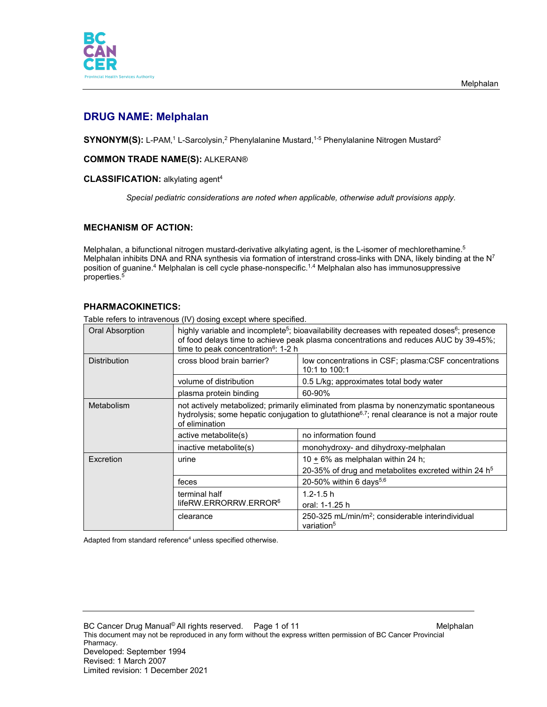

# **DRUG NAME: Melphalan**

 $\mathsf{SYNONYM}(\mathsf{S})$ : L-PAM, $^1$  L-Sarcolysin, $^2$  Phenylalanine Mustard, $^{1\text{-}5}$  Phenylalanine Nitrogen Mustard $^2$ 

# **COMMON TRADE NAME(S):** ALKERAN®

### **CLASSIFICATION:** alkylating agent4

*Special pediatric considerations are noted when applicable, otherwise adult provisions apply.*

# **MECHANISM OF ACTION:**

Melphalan, a bifunctional nitrogen mustard-derivative alkylating agent, is the L-isomer of mechlorethamine.<sup>5</sup> Melphalan inhibits DNA and RNA synthesis via formation of interstrand cross-links with DNA, likely binding at the  $N^7$ position of guanine. <sup>4</sup> Melphalan is cell cycle phase-nonspecific. 1,4 Melphalan also has immunosuppressive properties. 5

# **PHARMACOKINETICS:**

Table refers to intravenous (IV) dosing except where specified.

| <b>Oral Absorption</b> | highly variable and incomplete <sup>5</sup> ; bioavailability decreases with repeated doses <sup>6</sup> ; presence<br>of food delays time to achieve peak plasma concentrations and reduces AUC by 39-45%;<br>time to peak concentration <sup>6</sup> : 1-2 h |                                                                                                 |  |
|------------------------|----------------------------------------------------------------------------------------------------------------------------------------------------------------------------------------------------------------------------------------------------------------|-------------------------------------------------------------------------------------------------|--|
| <b>Distribution</b>    | cross blood brain barrier?<br>low concentrations in CSF; plasma: CSF concentrations<br>10:1 to $100:1$                                                                                                                                                         |                                                                                                 |  |
|                        | volume of distribution                                                                                                                                                                                                                                         | 0.5 L/kg; approximates total body water                                                         |  |
|                        | plasma protein binding                                                                                                                                                                                                                                         | 60-90%                                                                                          |  |
| Metabolism             | not actively metabolized; primarily eliminated from plasma by nonenzymatic spontaneous<br>hydrolysis; some hepatic conjugation to glutathione <sup>6,7</sup> ; renal clearance is not a major route<br>of elimination                                          |                                                                                                 |  |
|                        | active metabolite(s)                                                                                                                                                                                                                                           | no information found                                                                            |  |
|                        | inactive metabolite(s)                                                                                                                                                                                                                                         | monohydroxy- and dihydroxy-melphalan                                                            |  |
| Excretion              | urine                                                                                                                                                                                                                                                          | 10 $\pm$ 6% as melphalan within 24 h;<br>20-35% of drug and metabolites excreted within 24 $h5$ |  |
|                        | feces                                                                                                                                                                                                                                                          | 20-50% within 6 days $5,6$                                                                      |  |
|                        | terminal half<br>lifeRW.ERRORRW.ERROR <sup>6</sup>                                                                                                                                                                                                             | $1.2 - 1.5$ h<br>oral: 1-1.25 h                                                                 |  |
|                        | clearance                                                                                                                                                                                                                                                      | 250-325 mL/min/m <sup>2</sup> ; considerable interindividual<br>variation <sup>5</sup>          |  |

Adapted from standard reference $4$  unless specified otherwise.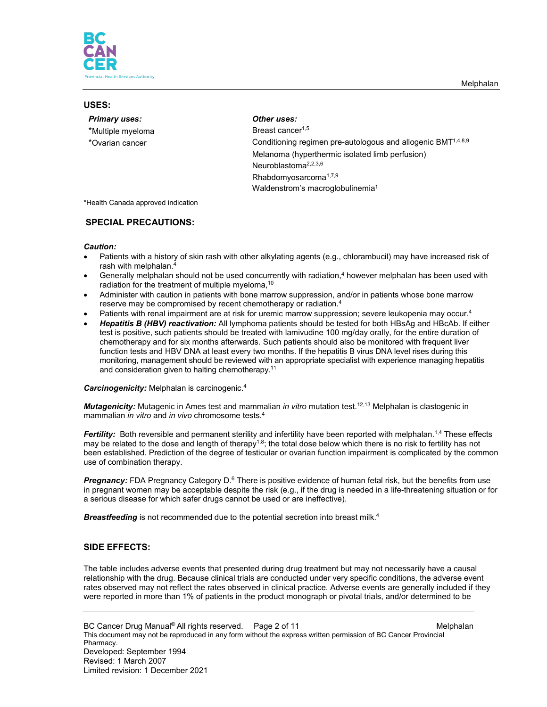

### **USES:**

|  |  | <b>Primary uses:</b> |
|--|--|----------------------|
|  |  |                      |

- \*Multiple myeloma between the Breast cancer<sup>1,5</sup>
- 

### *<u>Other</u> uses:*

\*Ovarian cancer **Conditioning regimen pre-autologous and allogenic BMT**<sup>1,4,8,9</sup> Melanoma (hyperthermic isolated limb perfusion) Neuroblastoma2,2,3,6 Rhabdomyosarcoma1,7,9 Waldenstrom's macroglobulinemia1

\*Health Canada approved indication

### **SPECIAL PRECAUTIONS:**

#### *Caution:*

- Patients with a history of skin rash with other alkylating agents (e.g., chlorambucil) may have increased risk of rash with melphalan.4
- Generally melphalan should not be used concurrently with radiation, <sup>4</sup> however melphalan has been used with radiation for the treatment of multiple myeloma,<sup>10</sup>
- Administer with caution in patients with bone marrow suppression, and/or in patients whose bone marrow reserve may be compromised by recent chemotherapy or radiation.4
- Patients with renal impairment are at risk for uremic marrow suppression; severe leukopenia may occur.<sup>4</sup>
- *Hepatitis B (HBV) reactivation:* All lymphoma patients should be tested for both HBsAg and HBcAb. If either test is positive, such patients should be treated with lamivudine 100 mg/day orally, for the entire duration of chemotherapy and for six months afterwards. Such patients should also be monitored with frequent liver function tests and HBV DNA at least every two months. If the hepatitis B virus DNA level rises during this monitoring, management should be reviewed with an appropriate specialist with experience managing hepatitis and consideration given to halting chemotherapy.<sup>11</sup>

#### *Carcinogenicity:* Melphalan is carcinogenic. 4

*Mutagenicity:* Mutagenic in Ames test and mammalian *in vitro* mutation test.12,13 Melphalan is clastogenic in mammalian *in vitro* and *in vivo* chromosome tests.4

*Fertility:* Both reversible and permanent sterility and infertility have been reported with melphalan. 1,4 These effects may be related to the dose and length of therapy<sup>1,8</sup>; the total dose below which there is no risk to fertility has not been established. Prediction of the degree of testicular or ovarian function impairment is complicated by the common use of combination therapy.

**Pregnancy:** FDA Pregnancy Category D.<sup>6</sup> There is positive evidence of human fetal risk, but the benefits from use in pregnant women may be acceptable despite the risk (e.g., if the drug is needed in a life-threatening situation or for a serious disease for which safer drugs cannot be used or are ineffective).

**Breastfeeding** is not recommended due to the potential secretion into breast milk.<sup>4</sup>

# **SIDE EFFECTS:**

The table includes adverse events that presented during drug treatment but may not necessarily have a causal relationship with the drug. Because clinical trials are conducted under very specific conditions, the adverse event rates observed may not reflect the rates observed in clinical practice. Adverse events are generally included if they were reported in more than 1% of patients in the product monograph or pivotal trials, and/or determined to be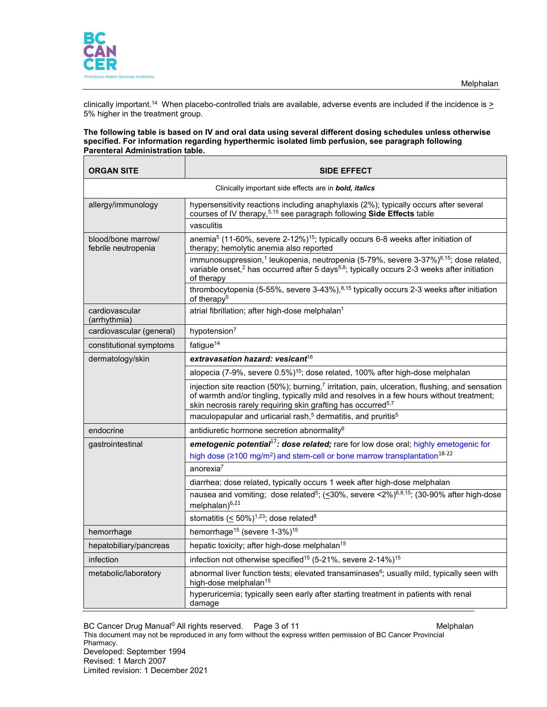

clinically important.<sup>14</sup> When placebo-controlled trials are available, adverse events are included if the incidence is <u>></u> 5% higher in the treatment group.

#### **The following table is based on IV and oral data using several different dosing schedules unless otherwise specified. For information regarding hyperthermic isolated limb perfusion, see paragraph following Parenteral Administration table.**

| <b>ORGAN SITE</b>                                                                                                                                                                                                                                                                  | <b>SIDE EFFECT</b>                                                                                                                                                                                                                                 |  |  |
|------------------------------------------------------------------------------------------------------------------------------------------------------------------------------------------------------------------------------------------------------------------------------------|----------------------------------------------------------------------------------------------------------------------------------------------------------------------------------------------------------------------------------------------------|--|--|
| Clinically important side effects are in <b>bold, italics</b>                                                                                                                                                                                                                      |                                                                                                                                                                                                                                                    |  |  |
| allergy/immunology                                                                                                                                                                                                                                                                 | hypersensitivity reactions including anaphylaxis (2%); typically occurs after several<br>courses of IV therapy, 5,15 see paragraph following Side Effects table                                                                                    |  |  |
|                                                                                                                                                                                                                                                                                    | vasculitis                                                                                                                                                                                                                                         |  |  |
| blood/bone marrow/<br>febrile neutropenia                                                                                                                                                                                                                                          | anemia <sup>5</sup> (11-60%, severe 2-12%) <sup>15</sup> ; typically occurs 6-8 weeks after initiation of<br>therapy; hemolytic anemia also reported                                                                                               |  |  |
|                                                                                                                                                                                                                                                                                    | immunosuppression, <sup>1</sup> leukopenia, neutropenia (5-79%, severe 3-37%) <sup>8,15</sup> ; dose related,<br>variable onset, <sup>2</sup> has occurred after 5 days <sup>5,8</sup> ; typically occurs 2-3 weeks after initiation<br>of therapy |  |  |
|                                                                                                                                                                                                                                                                                    | thrombocytopenia (5-55%, severe 3-43%), $8,15$ typically occurs 2-3 weeks after initiation<br>of therapy <sup>5</sup>                                                                                                                              |  |  |
| cardiovascular<br>(arrhythmia)                                                                                                                                                                                                                                                     | atrial fibrillation; after high-dose melphalan <sup>1</sup>                                                                                                                                                                                        |  |  |
| cardiovascular (general)                                                                                                                                                                                                                                                           | hypotension <sup>7</sup>                                                                                                                                                                                                                           |  |  |
| constitutional symptoms                                                                                                                                                                                                                                                            | fatigue <sup>14</sup>                                                                                                                                                                                                                              |  |  |
| dermatology/skin                                                                                                                                                                                                                                                                   | extravasation hazard: vesicant $^{16}$                                                                                                                                                                                                             |  |  |
|                                                                                                                                                                                                                                                                                    | alopecia (7-9%, severe 0.5%) <sup>15</sup> ; dose related, 100% after high-dose melphalan                                                                                                                                                          |  |  |
| injection site reaction (50%); burning, <sup>7</sup> irritation, pain, ulceration, flushing, and sensation<br>of warmth and/or tingling, typically mild and resolves in a few hours without treatment;<br>skin necrosis rarely requiring skin grafting has occurred <sup>5,7</sup> |                                                                                                                                                                                                                                                    |  |  |
|                                                                                                                                                                                                                                                                                    | maculopapular and urticarial rash, <sup>5</sup> dermatitis, and pruritis <sup>5</sup>                                                                                                                                                              |  |  |
| endocrine                                                                                                                                                                                                                                                                          | antidiuretic hormone secretion abnormality <sup>6</sup>                                                                                                                                                                                            |  |  |
| gastrointestinal                                                                                                                                                                                                                                                                   | emetogenic potential <sup>17</sup> : dose related; rare for low dose oral; highly emetogenic for                                                                                                                                                   |  |  |
|                                                                                                                                                                                                                                                                                    | high dose ( $\geq 100$ mg/m <sup>2</sup> ) and stem-cell or bone marrow transplantation <sup>18-22</sup>                                                                                                                                           |  |  |
|                                                                                                                                                                                                                                                                                    | anorexia $7$                                                                                                                                                                                                                                       |  |  |
|                                                                                                                                                                                                                                                                                    | diarrhea; dose related, typically occurs 1 week after high-dose melphalan                                                                                                                                                                          |  |  |
| nausea and vomiting; dose related <sup>5</sup> ; (<30%, severe <2%) <sup>6,8,15</sup> ; (30-90% after high-dose<br>melphalan) $^{6,21}$                                                                                                                                            |                                                                                                                                                                                                                                                    |  |  |
|                                                                                                                                                                                                                                                                                    | stomatitis ( $\leq$ 50%) <sup>1,23</sup> ; dose related <sup>8</sup>                                                                                                                                                                               |  |  |
| hemorrhage                                                                                                                                                                                                                                                                         | hemorrhage <sup>15</sup> (severe 1-3%) <sup>15</sup>                                                                                                                                                                                               |  |  |
| hepatobiliary/pancreas                                                                                                                                                                                                                                                             | hepatic toxicity; after high-dose melphalan <sup>15</sup>                                                                                                                                                                                          |  |  |
| infection                                                                                                                                                                                                                                                                          | infection not otherwise specified <sup>15</sup> (5-21%, severe 2-14%) <sup>15</sup>                                                                                                                                                                |  |  |
| metabolic/laboratory                                                                                                                                                                                                                                                               | abnormal liver function tests; elevated transaminases <sup>6</sup> ; usually mild, typically seen with<br>high-dose melphalan <sup>15</sup>                                                                                                        |  |  |
|                                                                                                                                                                                                                                                                                    | hyperuricemia; typically seen early after starting treatment in patients with renal<br>damage                                                                                                                                                      |  |  |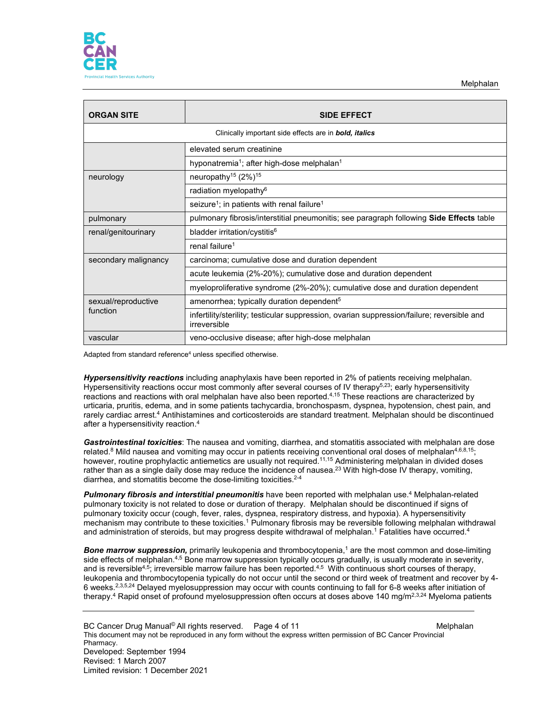

| <b>ORGAN SITE</b>    | <b>SIDE EFFECT</b>                                                                                         |  |  |
|----------------------|------------------------------------------------------------------------------------------------------------|--|--|
|                      | Clinically important side effects are in <b>bold, italics</b>                                              |  |  |
|                      | elevated serum creatinine                                                                                  |  |  |
|                      | hyponatremia <sup>1</sup> ; after high-dose melphalan <sup>1</sup>                                         |  |  |
| neurology            | neuropathy <sup>15</sup> (2%) <sup>15</sup>                                                                |  |  |
|                      | radiation myelopathy <sup>6</sup>                                                                          |  |  |
|                      | seizure <sup>1</sup> ; in patients with renal failure <sup>1</sup>                                         |  |  |
| pulmonary            | pulmonary fibrosis/interstitial pneumonitis; see paragraph following <b>Side Effects</b> table             |  |  |
| renal/genitourinary  | bladder irritation/cystitis <sup>6</sup>                                                                   |  |  |
|                      | renal failure <sup>1</sup>                                                                                 |  |  |
| secondary malignancy | carcinoma; cumulative dose and duration dependent                                                          |  |  |
|                      | acute leukemia (2%-20%); cumulative dose and duration dependent                                            |  |  |
|                      | myeloproliferative syndrome (2%-20%); cumulative dose and duration dependent                               |  |  |
| sexual/reproductive  | amenorrhea; typically duration dependent <sup>5</sup>                                                      |  |  |
| function             | infertility/sterility; testicular suppression, ovarian suppression/failure; reversible and<br>irreversible |  |  |
| vascular             | veno-occlusive disease; after high-dose melphalan                                                          |  |  |

Adapted from standard reference<sup>4</sup> unless specified otherwise.

*Hypersensitivity reactions* including anaphylaxis have been reported in 2% of patients receiving melphalan. Hypersensitivity reactions occur most commonly after several courses of IV therapy<sup>5,23</sup>; early hypersensitivity reactions and reactions with oral melphalan have also been reported.<sup>4,15</sup> These reactions are characterized by urticaria, pruritis, edema, and in some patients tachycardia, bronchospasm, dyspnea, hypotension, chest pain, and rarely cardiac arrest.<sup>4</sup> Antihistamines and corticosteroids are standard treatment. Melphalan should be discontinued after a hypersensitivity reaction.4

*Gastrointestinal toxicities*: The nausea and vomiting, diarrhea, and stomatitis associated with melphalan are dose related.<sup>8</sup> Mild nausea and vomiting may occur in patients receiving conventional oral doses of melphalan<sup>4,6,8,15</sup>; however, routine prophylactic antiemetics are usually not required.<sup>11,15</sup> Administering melphalan in divided doses rather than as a single daily dose may reduce the incidence of nausea.<sup>23</sup> With high-dose IV therapy, vomiting, diarrhea, and stomatitis become the dose-limiting toxicities.<sup>2-4</sup>

*Pulmonary fibrosis and interstitial pneumonitis* have been reported with melphalan use. <sup>4</sup> Melphalan-related pulmonary toxicity is not related to dose or duration of therapy. Melphalan should be discontinued if signs of pulmonary toxicity occur (cough, fever, rales, dyspnea, respiratory distress, and hypoxia). A hypersensitivity mechanism may contribute to these toxicities.1 Pulmonary fibrosis may be reversible following melphalan withdrawal and administration of steroids, but may progress despite withdrawal of melphalan.<sup>1</sup> Fatalities have occurred.<sup>4</sup>

*Bone marrow suppression,* primarily leukopenia and thrombocytopenia, <sup>1</sup> are the most common and dose-limiting side effects of melphalan.<sup>4,5</sup> Bone marrow suppression typically occurs gradually, is usually moderate in severity, and is reversible<sup>4,5</sup>; irreversible marrow failure has been reported.<sup>4,5</sup> With continuous short courses of therapy, leukopenia and thrombocytopenia typically do not occur until the second or third week of treatment and recover by 4- 6 weeks.2,3,5,24 Delayed myelosuppression may occur with counts continuing to fall for 6-8 weeks after initiation of therapy.<sup>4</sup> Rapid onset of profound myelosuppression often occurs at doses above 140 mg/m<sup>2,3,24</sup> Myeloma patients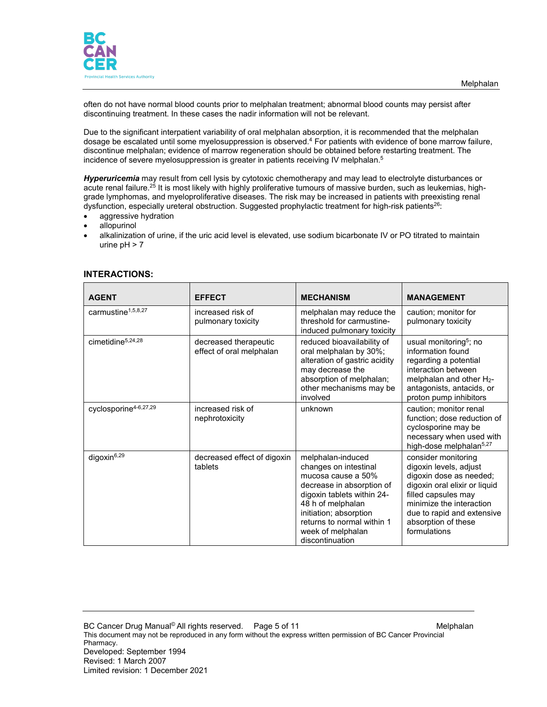

often do not have normal blood counts prior to melphalan treatment; abnormal blood counts may persist after discontinuing treatment. In these cases the nadir information will not be relevant.

Due to the significant interpatient variability of oral melphalan absorption, it is recommended that the melphalan dosage be escalated until some myelosuppression is observed.<sup>4</sup> For patients with evidence of bone marrow failure, discontinue melphalan; evidence of marrow regeneration should be obtained before restarting treatment. The incidence of severe myelosuppression is greater in patients receiving IV melphalan.<sup>5</sup>

*Hyperuricemia* may result from cell lysis by cytotoxic chemotherapy and may lead to electrolyte disturbances or acute renal failure.<sup>25</sup> It is most likely with highly proliferative tumours of massive burden, such as leukemias, highgrade lymphomas, and myeloproliferative diseases. The risk may be increased in patients with preexisting renal dysfunction, especially ureteral obstruction. Suggested prophylactic treatment for high-risk patients<sup>26</sup>:

- aggressive hydration
- allopurinol
- alkalinization of urine, if the uric acid level is elevated, use sodium bicarbonate IV or PO titrated to maintain urine  $pH > 7$

| <b>AGENT</b>                      | <b>EFFECT</b>                                     | <b>MECHANISM</b>                                                                                                                                                                                                                                 | <b>MANAGEMENT</b>                                                                                                                                                                                                                 |
|-----------------------------------|---------------------------------------------------|--------------------------------------------------------------------------------------------------------------------------------------------------------------------------------------------------------------------------------------------------|-----------------------------------------------------------------------------------------------------------------------------------------------------------------------------------------------------------------------------------|
| carmustine <sup>1,5,8,27</sup>    | increased risk of<br>pulmonary toxicity           | melphalan may reduce the<br>threshold for carmustine-<br>induced pulmonary toxicity                                                                                                                                                              | caution; monitor for<br>pulmonary toxicity                                                                                                                                                                                        |
| cimetidine <sup>5,24,28</sup>     | decreased therapeutic<br>effect of oral melphalan | reduced bioavailability of<br>oral melphalan by 30%;<br>alteration of gastric acidity<br>may decrease the<br>absorption of melphalan;<br>other mechanisms may be<br>involved                                                                     | usual monitoring <sup>5</sup> ; no<br>information found<br>regarding a potential<br>interaction between<br>melphalan and other $H_2$ -<br>antagonists, antacids, or<br>proton pump inhibitors                                     |
| cyclosporine <sup>4-6,27,29</sup> | increased risk of<br>nephrotoxicity               | unknown                                                                                                                                                                                                                                          | caution; monitor renal<br>function; dose reduction of<br>cyclosporine may be<br>necessary when used with<br>high-dose melphalan <sup>5,27</sup>                                                                                   |
| digoxin <sup>6,29</sup>           | decreased effect of digoxin<br>tablets            | melphalan-induced<br>changes on intestinal<br>mucosa cause a 50%<br>decrease in absorption of<br>digoxin tablets within 24-<br>48 h of melphalan<br>initiation; absorption<br>returns to normal within 1<br>week of melphalan<br>discontinuation | consider monitoring<br>digoxin levels, adjust<br>digoxin dose as needed;<br>digoxin oral elixir or liquid<br>filled capsules may<br>minimize the interaction<br>due to rapid and extensive<br>absorption of these<br>formulations |

#### **INTERACTIONS:**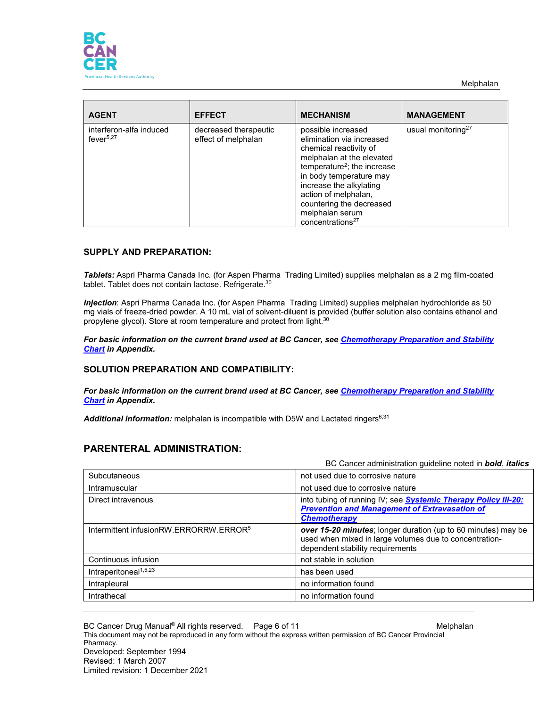



| <b>AGENT</b>                                     | <b>EFFECT</b>                                | <b>MECHANISM</b>                                                                                                                                                                                                                                                                                               | <b>MANAGEMENT</b>              |
|--------------------------------------------------|----------------------------------------------|----------------------------------------------------------------------------------------------------------------------------------------------------------------------------------------------------------------------------------------------------------------------------------------------------------------|--------------------------------|
| interferon-alfa induced<br>fever <sup>5,27</sup> | decreased therapeutic<br>effect of melphalan | possible increased<br>elimination via increased<br>chemical reactivity of<br>melphalan at the elevated<br>temperature <sup>2</sup> ; the increase<br>in body temperature may<br>increase the alkylating<br>action of melphalan,<br>countering the decreased<br>melphalan serum<br>concentrations <sup>27</sup> | usual monitoring <sup>27</sup> |

#### **SUPPLY AND PREPARATION:**

*Tablets:* Aspri Pharma Canada Inc. (for Aspen Pharma Trading Limited) supplies melphalan as a 2 mg film-coated tablet. Tablet does not contain lactose. Refrigerate. 30

*Injection*: Aspri Pharma Canada Inc. (for Aspen Pharma Trading Limited) supplies melphalan hydrochloride as 50 mg vials of freeze-dried powder. A 10 mL vial of solvent-diluent is provided (buffer solution also contains ethanol and propylene glycol). Store at room temperature and protect from light.<sup>30</sup>

*For basic information on the current brand used at BC Cancer, see [Chemotherapy Preparation and Stability](http://www.bccancer.bc.ca/health-professionals/clinical-resources/cancer-drug-manual)  [Chart](http://www.bccancer.bc.ca/health-professionals/clinical-resources/cancer-drug-manual) in Appendix.*

### **SOLUTION PREPARATION AND COMPATIBILITY:**

*For basic information on the current brand used at BC Cancer, see [Chemotherapy Preparation and Stability](http://www.bccancer.bc.ca/health-professionals/clinical-resources/cancer-drug-manual)  [Chart](http://www.bccancer.bc.ca/health-professionals/clinical-resources/cancer-drug-manual) in Appendix.*

Additional information: melphalan is incompatible with D5W and Lactated ringers<sup>6,31</sup>

# **PARENTERAL ADMINISTRATION:**

|                                                    | BC Cancer administration guideline noted in <b>bold</b> , <i>italics</i>                                                                                    |  |
|----------------------------------------------------|-------------------------------------------------------------------------------------------------------------------------------------------------------------|--|
| Subcutaneous                                       | not used due to corrosive nature                                                                                                                            |  |
| Intramuscular                                      | not used due to corrosive nature                                                                                                                            |  |
| Direct intravenous                                 | into tubing of running IV; see <b>Systemic Therapy Policy III-20:</b><br><b>Prevention and Management of Extravasation of</b><br><b>Chemotherapy</b>        |  |
| Intermittent infusionRW.ERRORRW.ERROR <sup>5</sup> | over 15-20 minutes; longer duration (up to 60 minutes) may be<br>used when mixed in large volumes due to concentration-<br>dependent stability requirements |  |
| Continuous infusion                                | not stable in solution                                                                                                                                      |  |
| Intraperitoneal <sup>1,5,23</sup>                  | has been used                                                                                                                                               |  |
| Intrapleural                                       | no information found                                                                                                                                        |  |
| Intrathecal                                        | no information found                                                                                                                                        |  |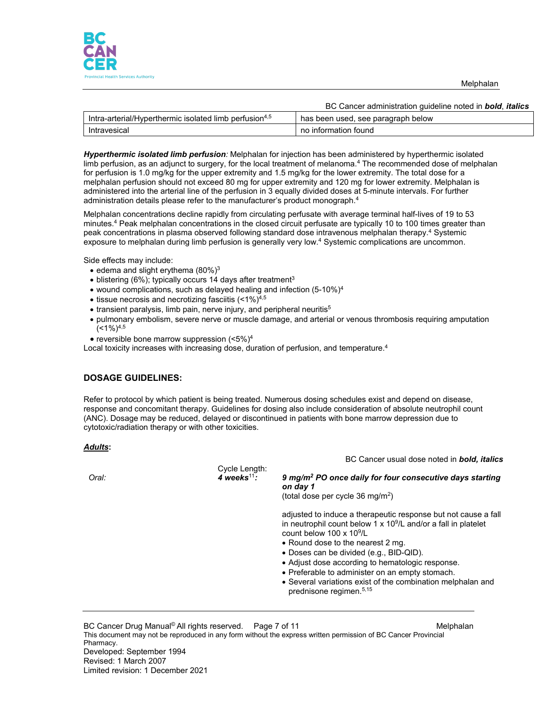

Melphalan

|                                                                    | BC Cancer administration quideline noted in <b>bold</b> , <i>italics</i> |
|--------------------------------------------------------------------|--------------------------------------------------------------------------|
| Intra-arterial/Hyperthermic isolated limb perfusion <sup>4,5</sup> | has been used, see paragraph below                                       |
| Intravesical                                                       | no information found                                                     |

*Hyperthermic isolated limb perfusion:* Melphalan for injection has been administered by hyperthermic isolated limb perfusion, as an adjunct to surgery, for the local treatment of melanoma.<sup>4</sup> The recommended dose of melphalan for perfusion is 1.0 mg/kg for the upper extremity and 1.5 mg/kg for the lower extremity. The total dose for a melphalan perfusion should not exceed 80 mg for upper extremity and 120 mg for lower extremity. Melphalan is administered into the arterial line of the perfusion in 3 equally divided doses at 5-minute intervals. For further administration details please refer to the manufacturer's product monograph.4

Melphalan concentrations decline rapidly from circulating perfusate with average terminal half-lives of 19 to 53 minutes.<sup>4</sup> Peak melphalan concentrations in the closed circuit perfusate are typically 10 to 100 times greater than peak concentrations in plasma observed following standard dose intravenous melphalan therapy.4 Systemic exposure to melphalan during limb perfusion is generally very low.4 Systemic complications are uncommon.

Side effects may include:

- $\bullet$  edema and slight erythema (80%)<sup>3</sup>
- $\bullet$  blistering (6%); typically occurs 14 days after treatment<sup>3</sup>
- wound complications, such as delayed healing and infection  $(5-10\%)^4$
- tissue necrosis and necrotizing fasciitis  $($ <1%) $4.5$
- transient paralysis, limb pain, nerve injury, and peripheral neuritis<sup>5</sup>
- pulmonary embolism, severe nerve or muscle damage, and arterial or venous thrombosis requiring amputation  $($  < 1%)<sup>4,5</sup>

• reversible bone marrow suppression (<5%)4

Local toxicity increases with increasing dose, duration of perfusion, and temperature.<sup>4</sup>

# **DOSAGE GUIDELINES:**

Refer to protocol by which patient is being treated. Numerous dosing schedules exist and depend on disease, response and concomitant therapy. Guidelines for dosing also include consideration of absolute neutrophil count (ANC). Dosage may be reduced, delayed or discontinued in patients with bone marrow depression due to cytotoxic/radiation therapy or with other toxicities.

#### *Adults***:**

BC Cancer usual dose noted in *bold, italics* Cycle Length: *Oral: 4 weeks*<sup>11</sup>*: 9 mg/m2 PO once daily for four consecutive days starting on day 1*  (total dose per cycle 36 mg/m2) adjusted to induce a therapeutic response but not cause a fall in neutrophil count below  $1 \times 10^9$ /L and/or a fall in platelet count below 100 x 109/L • Round dose to the nearest 2 mg. • Doses can be divided (e.g., BID-QID). • Adjust dose according to hematologic response. • Preferable to administer on an empty stomach. • Several variations exist of the combination melphalan and prednisone regimen. 5,15

BC Cancer Drug Manual© All rights reserved. Dage 7 of 11 Metalum Melphalan This document may not be reproduced in any form without the express written permission of BC Cancer Provincial Pharmacy. Developed: September 1994 Revised: 1 March 2007 Limited revision: 1 December 2021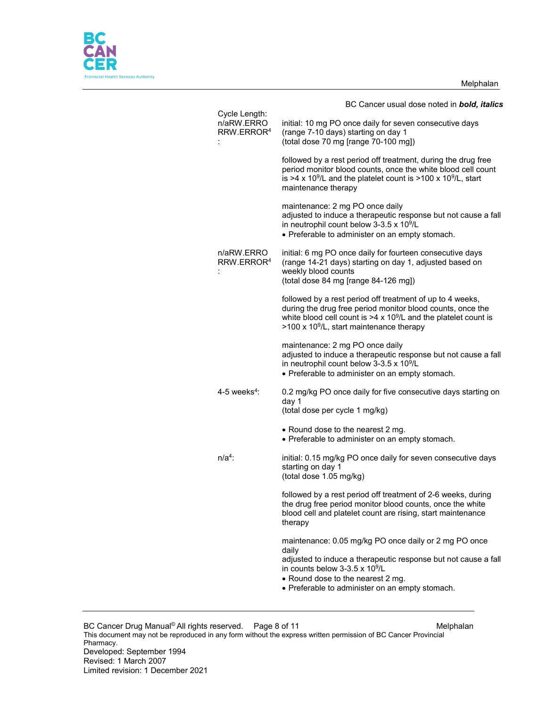Melphalan



| Cycle Length:              | BC Cancer usual dose noted in <b>bold, italics</b>                                                                                                                                                                                                                     |
|----------------------------|------------------------------------------------------------------------------------------------------------------------------------------------------------------------------------------------------------------------------------------------------------------------|
| n/aRW.ERRO<br>RRW.ERROR4   | initial: 10 mg PO once daily for seven consecutive days<br>(range 7-10 days) starting on day 1<br>(total dose 70 mg [range 70-100 mg])                                                                                                                                 |
|                            | followed by a rest period off treatment, during the drug free<br>period monitor blood counts, once the white blood cell count<br>is >4 x 10 <sup>9</sup> /L and the platelet count is >100 x 10 <sup>9</sup> /L, start<br>maintenance therapy                          |
|                            | maintenance: 2 mg PO once daily<br>adjusted to induce a therapeutic response but not cause a fall<br>in neutrophil count below 3-3.5 x 10 <sup>9</sup> /L<br>• Preferable to administer on an empty stomach.                                                           |
| n/aRW.ERRO<br>RRW.ERROR4   | initial: 6 mg PO once daily for fourteen consecutive days<br>(range 14-21 days) starting on day 1, adjusted based on<br>weekly blood counts<br>(total dose 84 mg [range 84-126 mg])                                                                                    |
|                            | followed by a rest period off treatment of up to 4 weeks,<br>during the drug free period monitor blood counts, once the<br>white blood cell count is $>4 \times 10^9$ /L and the platelet count is<br>>100 x 10 <sup>9</sup> /L, start maintenance therapy             |
|                            | maintenance: 2 mg PO once daily<br>adjusted to induce a therapeutic response but not cause a fall<br>in neutrophil count below 3-3.5 x 10 <sup>9</sup> /L<br>• Preferable to administer on an empty stomach.                                                           |
| $4-5$ weeks <sup>4</sup> : | 0.2 mg/kg PO once daily for five consecutive days starting on<br>day 1<br>(total dose per cycle 1 mg/kg)                                                                                                                                                               |
|                            | • Round dose to the nearest 2 mg.<br>• Preferable to administer on an empty stomach.                                                                                                                                                                                   |
| $n/a4$ :                   | initial: 0.15 mg/kg PO once daily for seven consecutive days<br>starting on day 1<br>(total dose 1.05 mg/kg)                                                                                                                                                           |
|                            | followed by a rest period off treatment of 2-6 weeks, during<br>the drug free period monitor blood counts, once the white<br>blood cell and platelet count are rising, start maintenance<br>therapy                                                                    |
|                            | maintenance: 0.05 mg/kg PO once daily or 2 mg PO once<br>dailv<br>adjusted to induce a therapeutic response but not cause a fall<br>in counts below 3-3.5 x 10 <sup>9</sup> /L<br>• Round dose to the nearest 2 mg.<br>• Preferable to administer on an empty stomach. |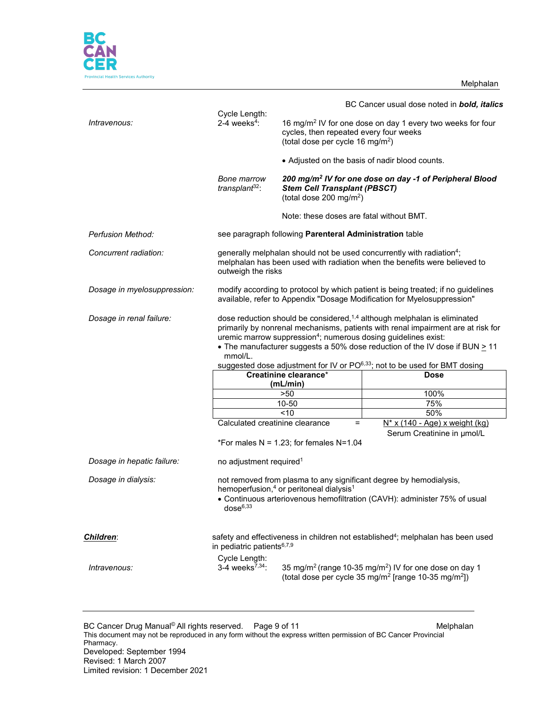Melphalan



|                             |                                                                                                                                                                                                                                                                                                                                                                                                                                            |                                                                                                                                                                  | BC Cancer usual dose noted in <b>bold, italics</b>                                          |  |
|-----------------------------|--------------------------------------------------------------------------------------------------------------------------------------------------------------------------------------------------------------------------------------------------------------------------------------------------------------------------------------------------------------------------------------------------------------------------------------------|------------------------------------------------------------------------------------------------------------------------------------------------------------------|---------------------------------------------------------------------------------------------|--|
| Intravenous:                | Cycle Length:<br>2-4 weeks <sup>4</sup> :                                                                                                                                                                                                                                                                                                                                                                                                  | 16 mg/m <sup>2</sup> IV for one dose on day 1 every two weeks for four<br>cycles, then repeated every four weeks<br>(total dose per cycle 16 mg/m <sup>2</sup> ) |                                                                                             |  |
|                             |                                                                                                                                                                                                                                                                                                                                                                                                                                            | • Adjusted on the basis of nadir blood counts.                                                                                                                   |                                                                                             |  |
|                             | <b>Bone marrow</b><br>transplant <sup>32</sup> :                                                                                                                                                                                                                                                                                                                                                                                           | <b>Stem Cell Transplant (PBSCT)</b><br>(total dose 200 mg/m <sup>2</sup> )                                                                                       | 200 mg/m <sup>2</sup> IV for one dose on day -1 of Peripheral Blood                         |  |
|                             |                                                                                                                                                                                                                                                                                                                                                                                                                                            | Note: these doses are fatal without BMT.                                                                                                                         |                                                                                             |  |
| <b>Perfusion Method:</b>    |                                                                                                                                                                                                                                                                                                                                                                                                                                            | see paragraph following Parenteral Administration table                                                                                                          |                                                                                             |  |
| Concurrent radiation:       | generally melphalan should not be used concurrently with radiation <sup>4</sup> ;<br>melphalan has been used with radiation when the benefits were believed to<br>outweigh the risks                                                                                                                                                                                                                                                       |                                                                                                                                                                  |                                                                                             |  |
| Dosage in myelosuppression: | modify according to protocol by which patient is being treated; if no guidelines<br>available, refer to Appendix "Dosage Modification for Myelosuppression"                                                                                                                                                                                                                                                                                |                                                                                                                                                                  |                                                                                             |  |
| Dosage in renal failure:    | dose reduction should be considered, <sup>1,4</sup> although melphalan is eliminated<br>primarily by nonrenal mechanisms, patients with renal impairment are at risk for<br>uremic marrow suppression <sup>4</sup> ; numerous dosing guidelines exist:<br>• The manufacturer suggests a 50% dose reduction of the IV dose if BUN > 11<br>mmol/L.<br>suggested dose adjustment for IV or PO <sup>6,33</sup> ; not to be used for BMT dosing |                                                                                                                                                                  |                                                                                             |  |
|                             |                                                                                                                                                                                                                                                                                                                                                                                                                                            | Creatinine clearance*                                                                                                                                            | <b>Dose</b>                                                                                 |  |
|                             |                                                                                                                                                                                                                                                                                                                                                                                                                                            | (mL/min)                                                                                                                                                         |                                                                                             |  |
|                             |                                                                                                                                                                                                                                                                                                                                                                                                                                            | >50                                                                                                                                                              | 100%                                                                                        |  |
|                             |                                                                                                                                                                                                                                                                                                                                                                                                                                            | 10-50                                                                                                                                                            | 75%                                                                                         |  |
|                             |                                                                                                                                                                                                                                                                                                                                                                                                                                            | < 10                                                                                                                                                             | 50%                                                                                         |  |
|                             | Calculated creatinine clearance                                                                                                                                                                                                                                                                                                                                                                                                            | $=$                                                                                                                                                              | $N^*$ x (140 - Age) x weight (kg)                                                           |  |
|                             |                                                                                                                                                                                                                                                                                                                                                                                                                                            | *For males $N = 1.23$ ; for females $N=1.04$                                                                                                                     | Serum Creatinine in µmol/L                                                                  |  |
| Dosage in hepatic failure:  | no adjustment required <sup>1</sup>                                                                                                                                                                                                                                                                                                                                                                                                        |                                                                                                                                                                  |                                                                                             |  |
| Dosage in dialysis:         | not removed from plasma to any significant degree by hemodialysis,<br>hemoperfusion, <sup>4</sup> or peritoneal dialysis <sup>1</sup><br>• Continuous arteriovenous hemofiltration (CAVH): administer 75% of usual<br>$dose^{6,33}$                                                                                                                                                                                                        |                                                                                                                                                                  |                                                                                             |  |
| <b>Children:</b>            | in pediatric patients $6,7,9$                                                                                                                                                                                                                                                                                                                                                                                                              |                                                                                                                                                                  | safety and effectiveness in children not established <sup>4</sup> ; melphalan has been used |  |
| Intravenous:                | Cycle Length:<br>3-4 weeks $^{7,34}$ :                                                                                                                                                                                                                                                                                                                                                                                                     | 35 mg/m <sup>2</sup> (range 10-35 mg/m <sup>2</sup> ) IV for one dose on day 1<br>(total dose per cycle 35 mg/m <sup>2</sup> [range 10-35 mg/m <sup>2</sup> ])   |                                                                                             |  |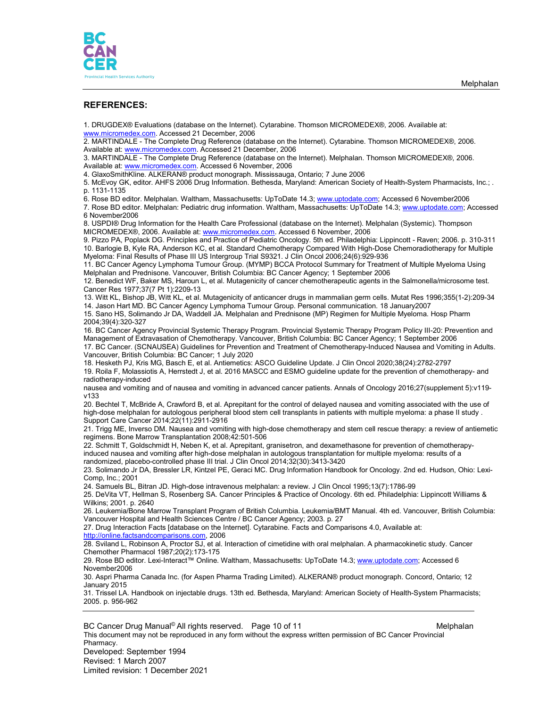

#### **REFERENCES:**

1. DRUGDEX® Evaluations (database on the Internet). Cytarabine. Thomson MICROMEDEX®, 2006. Available at: [www.micromedex.com.](http://www.micromedex.com/) Accessed 21 December, 2006

2. MARTINDALE - The Complete Drug Reference (database on the Internet). Cytarabine. Thomson MICROMEDEX®, 2006. Available at[: www.micromedex.com.](http://www.micromedex.com/) Accessed 21 December, 2006

3. MARTINDALE - The Complete Drug Reference (database on the Internet). Melphalan. Thomson MICROMEDEX®, 2006. Available at[: www.micromedex.com.](http://www.micromedex.com/) Accessed 6 November, 2006

4. GlaxoSmithKline. ALKERAN® product monograph. Mississauga, Ontario; 7 June 2006

5. McEvoy GK, editor. AHFS 2006 Drug Information. Bethesda, Maryland: American Society of Health-System Pharmacists, Inc.; . p. 1131-1135

6. Rose BD editor. Melphalan. Waltham, Massachusetts: UpToDate 14.3; [www.uptodate.com;](http://www.uptodate.com/) Accessed 6 November2006

7. Rose BD editor. Melphalan: Pediatric drug information. Waltham, Massachusetts: UpToDate 14.3[; www.uptodate.com;](http://www.uptodate.com/) Accessed 6 November2006

8. USPDI® Drug Information for the Health Care Professional (database on the Internet). Melphalan (Systemic). Thompson MICROMEDEX®, 2006. Available at: [www.micromedex.com.](http://www.micromedex.com/) Accessed 6 November, 2006

9. Pizzo PA, Poplack DG. Principles and Practice of Pediatric Oncology. 5th ed. Philadelphia: Lippincott - Raven; 2006. p. 310-311 10. Barlogie B, Kyle RA, Anderson KC, et al. Standard Chemotherapy Compared With High-Dose Chemoradiotherapy for Multiple Myeloma: Final Results of Phase III US Intergroup Trial S9321. J Clin Oncol 2006;24(6):929-936

11. BC Cancer Agency Lymphoma Tumour Group. (MYMP) BCCA Protocol Summary for Treatment of Multiple Myeloma Using Melphalan and Prednisone. Vancouver, British Columbia: BC Cancer Agency; 1 September 2006

12. Benedict WF, Baker MS, Haroun L, et al. Mutagenicity of cancer chemotherapeutic agents in the Salmonella/microsome test. Cancer Res 1977;37(7 Pt 1):2209-13

13. Witt KL, Bishop JB, Witt KL, et al. Mutagenicity of anticancer drugs in mammalian germ cells. Mutat Res 1996;355(1-2):209-34 14. Jason Hart MD. BC Cancer Agency Lymphoma Tumour Group. Personal communication. 18 January2007

15. Sano HS, Solimando Jr DA, Waddell JA. Melphalan and Prednisone (MP) Regimen for Multiple Myeloma. Hosp Pharm 2004;39(4):320-327

16. BC Cancer Agency Provincial Systemic Therapy Program. Provincial Systemic Therapy Program Policy III-20: Prevention and Management of Extravasation of Chemotherapy. Vancouver, British Columbia: BC Cancer Agency; 1 September 2006

17. BC Cancer. (SCNAUSEA) Guidelines for Prevention and Treatment of Chemotherapy-Induced Nausea and Vomiting in Adults. Vancouver, British Columbia: BC Cancer; 1 July 2020

18. Hesketh PJ, Kris MG, Basch E, et al. Antiemetics: ASCO Guideline Update. J Clin Oncol 2020;38(24):2782-2797 19. Roila F, Molassiotis A, Herrstedt J, et al. 2016 MASCC and ESMO guideline update for the prevention of chemotherapy- and radiotherapy-induced

nausea and vomiting and of nausea and vomiting in advanced cancer patients. Annals of Oncology 2016;27(supplement 5):v119 v133

20. Bechtel T, McBride A, Crawford B, et al. Aprepitant for the control of delayed nausea and vomiting associated with the use of high-dose melphalan for autologous peripheral blood stem cell transplants in patients with multiple myeloma: a phase II study . Support Care Cancer 2014;22(11):2911-2916

21. Trigg ME, Inverso DM. Nausea and vomiting with high-dose chemotherapy and stem cell rescue therapy: a review of antiemetic regimens. Bone Marrow Transplantation 2008;42:501-506

22. Schmitt T, Goldschmidt H, Neben K, et al. Aprepitant, granisetron, and dexamethasone for prevention of chemotherapyinduced nausea and vomiting after high-dose melphalan in autologous transplantation for multiple myeloma: results of a randomized, placebo-controlled phase III trial. J Clin Oncol 2014;32(30):3413-3420

23. Solimando Jr DA, Bressler LR, Kintzel PE, Geraci MC. Drug Information Handbook for Oncology. 2nd ed. Hudson, Ohio: Lexi-Comp, Inc.; 2001

24. Samuels BL, Bitran JD. High-dose intravenous melphalan: a review. J Clin Oncol 1995;13(7):1786-99

25. DeVita VT, Hellman S, Rosenberg SA. Cancer Principles & Practice of Oncology. 6th ed. Philadelphia: Lippincott Williams & Wilkins; 2001. p. 2640

26. Leukemia/Bone Marrow Transplant Program of British Columbia. Leukemia/BMT Manual. 4th ed. Vancouver, British Columbia: Vancouver Hospital and Health Sciences Centre / BC Cancer Agency; 2003. p. 27

27. Drug Interaction Facts [database on the Internet]. Cytarabine. Facts and Comparisons 4.0, Available at: [http://online.factsandcomparisons.com,](http://online.factsandcomparisons.com/) 2006

28. Sviland L, Robinson A, Proctor SJ, et al. Interaction of cimetidine with oral melphalan. A pharmacokinetic study. Cancer Chemother Pharmacol 1987;20(2):173-175

29. Rose BD editor. Lexi-Interact™ Online. Waltham, Massachusetts: UpToDate 14.3; [www.uptodate.com;](http://www.uptodate.com/) Accessed 6 November2006

30. Aspri Pharma Canada Inc. (for Aspen Pharma Trading Limited). ALKERAN® product monograph. Concord, Ontario; 12 January 2015

31. Trissel LA. Handbook on injectable drugs. 13th ed. Bethesda, Maryland: American Society of Health-System Pharmacists; 2005. p. 956-962

BC Cancer Drug Manual© All rights reserved. Page 10 of 11 Metal and the Melphalan This document may not be reproduced in any form without the express written permission of BC Cancer Provincial Pharmacy. Developed: September 1994 Revised: 1 March 2007 Limited revision: 1 December 2021